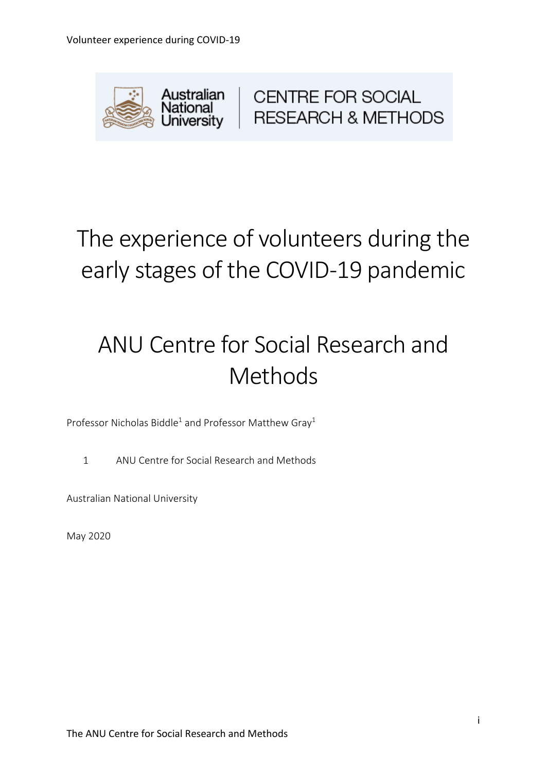

**CENTRE FOR SOCIAL RESEARCH & METHODS** 

# The experience of volunteers during the early stages of the COVID-19 pandemic

# ANU Centre for Social Research and Methods

Professor Nicholas Biddle<sup>1</sup> and Professor Matthew Gray<sup>1</sup>

1 ANU Centre for Social Research and Methods

Australian National University

May 2020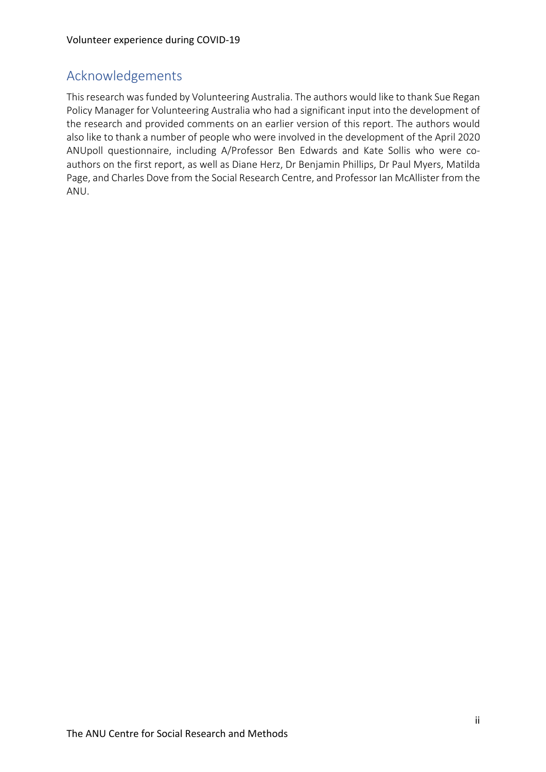## Acknowledgements

This research was funded by Volunteering Australia. The authors would like to thank Sue Regan Policy Manager for Volunteering Australia who had a significant input into the development of the research and provided comments on an earlier version of this report. The authors would also like to thank a number of people who were involved in the development of the April 2020 ANUpoll questionnaire, including A/Professor Ben Edwards and Kate Sollis who were coauthors on the first report, as well as Diane Herz, Dr Benjamin Phillips, Dr Paul Myers, Matilda Page, and Charles Dove from the Social Research Centre, and Professor Ian McAllister from the ANU.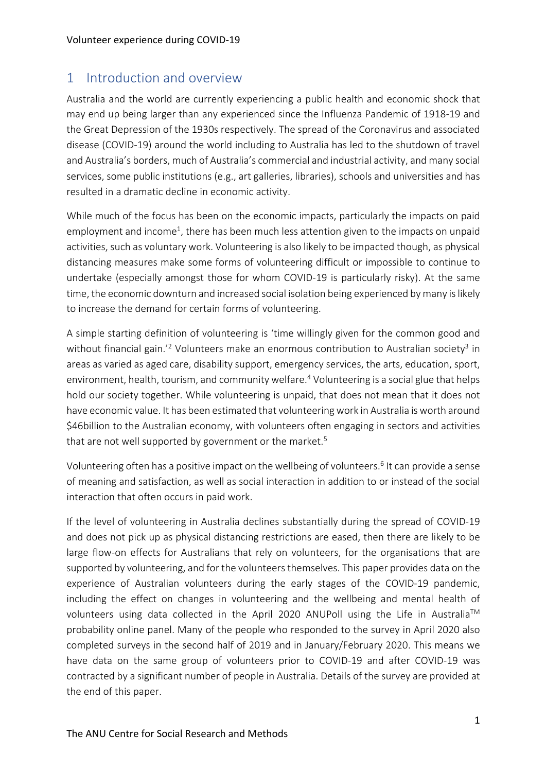## 1 Introduction and overview

Australia and the world are currently experiencing a public health and economic shock that may end up being larger than any experienced since the Influenza Pandemic of 1918-19 and the Great Depression of the 1930s respectively. The spread of the Coronavirus and associated disease (COVID-19) around the world including to Australia has led to the shutdown of travel and Australia's borders, much of Australia's commercial and industrial activity, and many social services, some public institutions (e.g., art galleries, libraries), schools and universities and has resulted in a dramatic decline in economic activity.

While much of the focus has been on the economic impacts, particularly the impacts on paid employment and income<sup>1</sup>, there has been much less attention given to the impacts on unpaid activities, such as voluntary work. Volunteering is also likely to be impacted though, as physical distancing measures make some forms of volunteering difficult or impossible to continue to undertake (especially amongst those for whom COVID-19 is particularly risky). At the same time, the economic downturn and increased social isolation being experienced by many is likely to increase the demand for certain forms of volunteering.

A simple starting definition of volunteering is 'time willingly given for the common good and without financial gain.<sup>'2</sup> Volunteers make an enormous contribution to Australian society<sup>3</sup> in areas as varied as aged care, disability support, emergency services, the arts, education, sport, environment, health, tourism, and community welfare.<sup>4</sup> Volunteering is a social glue that helps hold our society together. While volunteering is unpaid, that does not mean that it does not have economic value. It has been estimated that volunteering work in Australia is worth around \$46billion to the Australian economy, with volunteers often engaging in sectors and activities that are not well supported by government or the market.<sup>5</sup>

Volunteering often has a positive impact on the wellbeing of volunteers. <sup>6</sup> It can provide a sense of meaning and satisfaction, as well as social interaction in addition to or instead of the social interaction that often occurs in paid work.

If the level of volunteering in Australia declines substantially during the spread of COVID-19 and does not pick up as physical distancing restrictions are eased, then there are likely to be large flow-on effects for Australians that rely on volunteers, for the organisations that are supported by volunteering, and for the volunteers themselves. This paper provides data on the experience of Australian volunteers during the early stages of the COVID-19 pandemic, including the effect on changes in volunteering and the wellbeing and mental health of volunteers using data collected in the April 2020 ANUPoll using the Life in Australia™ probability online panel. Many of the people who responded to the survey in April 2020 also completed surveys in the second half of 2019 and in January/February 2020. This means we have data on the same group of volunteers prior to COVID-19 and after COVID-19 was contracted by a significant number of people in Australia. Details of the survey are provided at the end of this paper.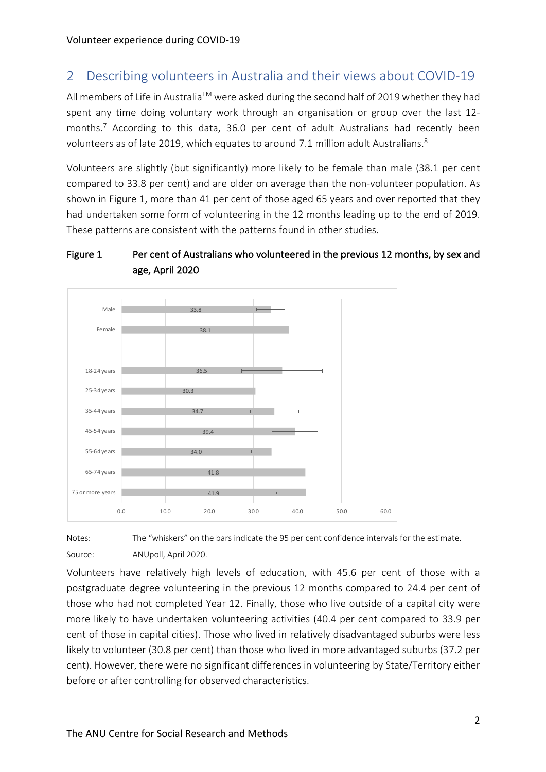## 2 Describing volunteers in Australia and their views about COVID-19

All members of Life in Australia™ were asked during the second half of 2019 whether they had spent any time doing voluntary work through an organisation or group over the last 12 months. <sup>7</sup> According to this data, 36.0 per cent of adult Australians had recently been volunteers as of late 2019, which equates to around 7.1 million adult Australians. ${}^{8}$ 

Volunteers are slightly (but significantly) more likely to be female than male (38.1 per cent compared to 33.8 per cent) and are older on average than the non-volunteer population. As shown in Figure 1, more than 41 per cent of those aged 65 years and over reported that they had undertaken some form of volunteering in the 12 months leading up to the end of 2019. These patterns are consistent with the patterns found in other studies.

### Figure 1 Per cent of Australians who volunteered in the previous 12 months, by sex and age, April 2020



Notes: The "whiskers" on the bars indicate the 95 per cent confidence intervals for the estimate. Source: ANUpoll, April 2020.

Volunteers have relatively high levels of education, with 45.6 per cent of those with a postgraduate degree volunteering in the previous 12 months compared to 24.4 per cent of those who had not completed Year 12. Finally, those who live outside of a capital city were more likely to have undertaken volunteering activities (40.4 per cent compared to 33.9 per cent of those in capital cities). Those who lived in relatively disadvantaged suburbs were less likely to volunteer (30.8 per cent) than those who lived in more advantaged suburbs (37.2 per cent). However, there were no significant differences in volunteering by State/Territory either before or after controlling for observed characteristics.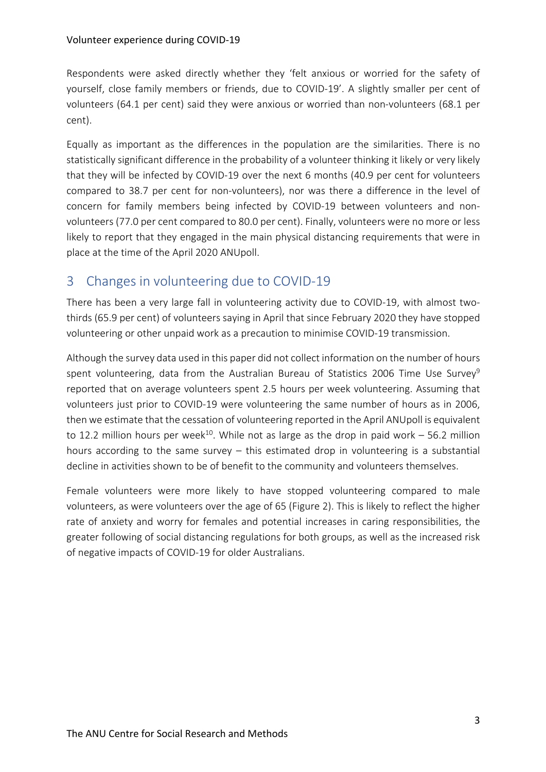Respondents were asked directly whether they 'felt anxious or worried for the safety of yourself, close family members or friends, due to COVID-19'. A slightly smaller per cent of volunteers (64.1 per cent) said they were anxious or worried than non-volunteers (68.1 per cent).

Equally as important as the differences in the population are the similarities. There is no statistically significant difference in the probability of a volunteer thinking it likely or very likely that they will be infected by COVID-19 over the next 6 months (40.9 per cent for volunteers compared to 38.7 per cent for non-volunteers), nor was there a difference in the level of concern for family members being infected by COVID-19 between volunteers and nonvolunteers (77.0 per cent compared to 80.0 per cent). Finally, volunteers were no more or less likely to report that they engaged in the main physical distancing requirements that were in place at the time of the April 2020 ANUpoll.

## 3 Changes in volunteering due to COVID-19

There has been a very large fall in volunteering activity due to COVID-19, with almost twothirds (65.9 per cent) of volunteers saying in April that since February 2020 they have stopped volunteering or other unpaid work as a precaution to minimise COVID-19 transmission.

Although the survey data used in this paper did not collect information on the number of hours spent volunteering, data from the Australian Bureau of Statistics 2006 Time Use Survey<sup>9</sup> reported that on average volunteers spent 2.5 hours per week volunteering. Assuming that volunteers just prior to COVID-19 were volunteering the same number of hours as in 2006, then we estimate that the cessation of volunteering reported in the April ANUpoll is equivalent to 12.2 million hours per week<sup>10</sup>. While not as large as the drop in paid work – 56.2 million hours according to the same survey – this estimated drop in volunteering is a substantial decline in activities shown to be of benefit to the community and volunteers themselves.

Female volunteers were more likely to have stopped volunteering compared to male volunteers, as were volunteers over the age of 65 (Figure 2). This is likely to reflect the higher rate of anxiety and worry for females and potential increases in caring responsibilities, the greater following of social distancing regulations for both groups, as well as the increased risk of negative impacts of COVID-19 for older Australians.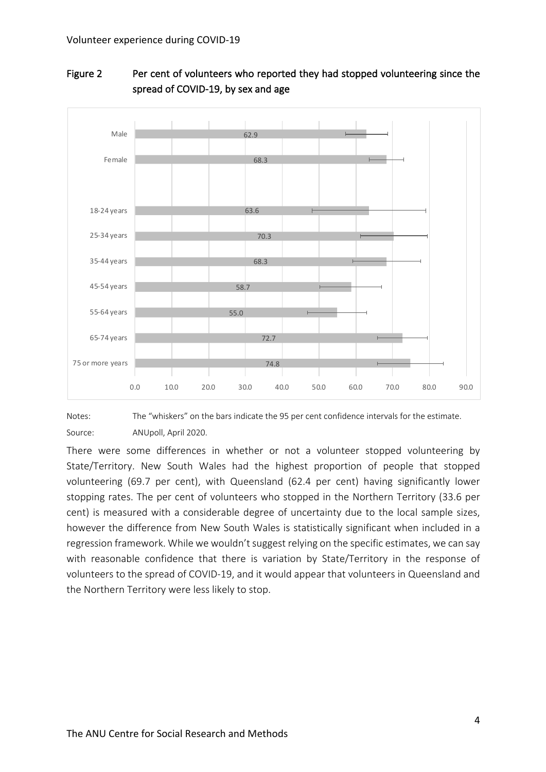

### Figure 2 Per cent of volunteers who reported they had stopped volunteering since the spread of COVID-19, by sex and age

Notes: The "whiskers" on the bars indicate the 95 per cent confidence intervals for the estimate. Source: ANUpoll, April 2020.

There were some differences in whether or not a volunteer stopped volunteering by State/Territory. New South Wales had the highest proportion of people that stopped volunteering (69.7 per cent), with Queensland (62.4 per cent) having significantly lower stopping rates. The per cent of volunteers who stopped in the Northern Territory (33.6 per cent) is measured with a considerable degree of uncertainty due to the local sample sizes, however the difference from New South Wales is statistically significant when included in a regression framework. While we wouldn't suggest relying on the specific estimates, we can say with reasonable confidence that there is variation by State/Territory in the response of volunteers to the spread of COVID-19, and it would appear that volunteers in Queensland and the Northern Territory were less likely to stop.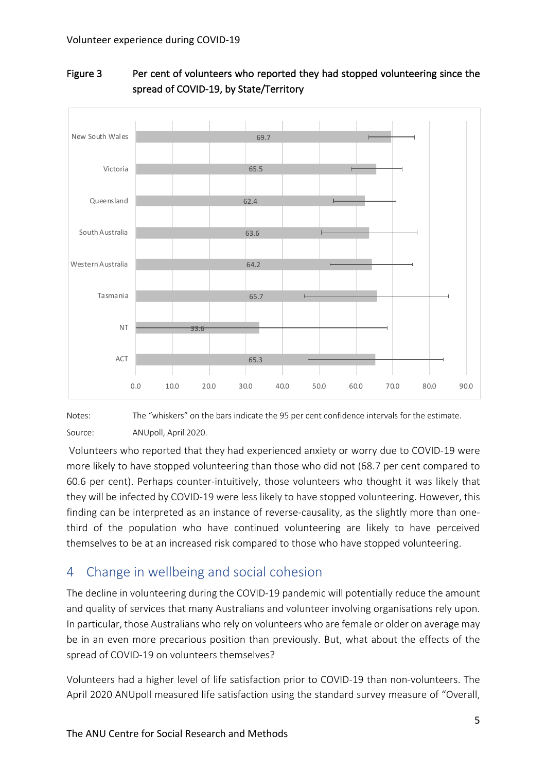

### Figure 3 Per cent of volunteers who reported they had stopped volunteering since the spread of COVID-19, by State/Territory

Notes: The "whiskers" on the bars indicate the 95 per cent confidence intervals for the estimate. Source: ANUpoll, April 2020.

Volunteers who reported that they had experienced anxiety or worry due to COVID-19 were more likely to have stopped volunteering than those who did not (68.7 per cent compared to 60.6 per cent). Perhaps counter-intuitively, those volunteers who thought it was likely that they will be infected by COVID-19 were less likely to have stopped volunteering. However, this finding can be interpreted as an instance of reverse-causality, as the slightly more than onethird of the population who have continued volunteering are likely to have perceived themselves to be at an increased risk compared to those who have stopped volunteering.

## 4 Change in wellbeing and social cohesion

The decline in volunteering during the COVID-19 pandemic will potentially reduce the amount and quality of services that many Australians and volunteer involving organisations rely upon. In particular, those Australians who rely on volunteers who are female or older on average may be in an even more precarious position than previously. But, what about the effects of the spread of COVID-19 on volunteers themselves?

Volunteers had a higher level of life satisfaction prior to COVID-19 than non-volunteers. The April 2020 ANUpoll measured life satisfaction using the standard survey measure of "Overall,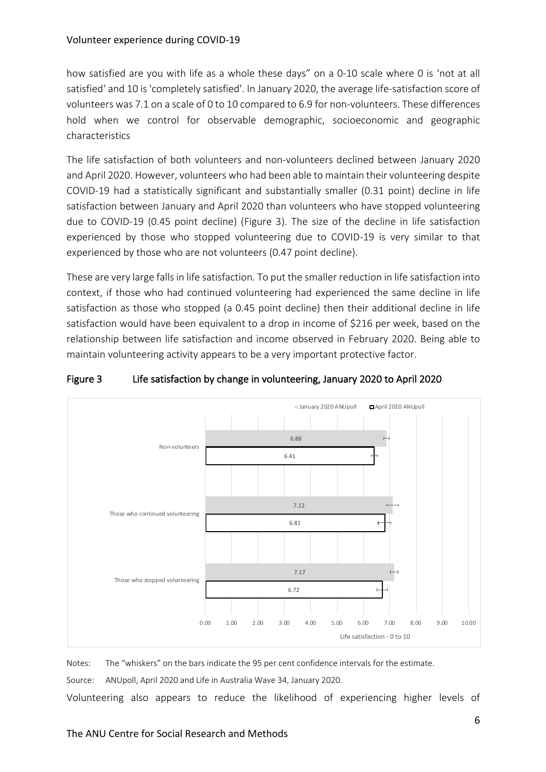how satisfied are you with life as a whole these days" on a 0-10 scale where 0 is 'not at all satisfied' and 10 is 'completely satisfied'. In January 2020, the average life-satisfaction score of volunteers was 7.1 on a scale of 0 to 10 compared to 6.9 for non-volunteers. These differences hold when we control for observable demographic, socioeconomic and geographic characteristics

The life satisfaction of both volunteers and non-volunteers declined between January 2020 and April 2020. However, volunteers who had been able to maintain their volunteering despite COVID-19 had a statistically significant and substantially smaller (0.31 point) decline in life satisfaction between January and April 2020 than volunteers who have stopped volunteering due to COVID-19 (0.45 point decline) (Figure 3). The size of the decline in life satisfaction experienced by those who stopped volunteering due to COVID-19 is very similar to that experienced by those who are not volunteers (0.47 point decline).

These are very large falls in life satisfaction. To put the smaller reduction in life satisfaction into context, if those who had continued volunteering had experienced the same decline in life satisfaction as those who stopped (a 0.45 point decline) then their additional decline in life satisfaction would have been equivalent to a drop in income of \$216 per week, based on the relationship between life satisfaction and income observed in February 2020. Being able to maintain volunteering activity appears to be a very important protective factor.



#### Figure 3 Life satisfaction by change in volunteering, January 2020 to April 2020

Notes: The "whiskers" on the bars indicate the 95 per cent confidence intervals for the estimate. Source: ANUpoll, April 2020 and Life in Australia Wave 34, January 2020.

Volunteering also appears to reduce the likelihood of experiencing higher levels of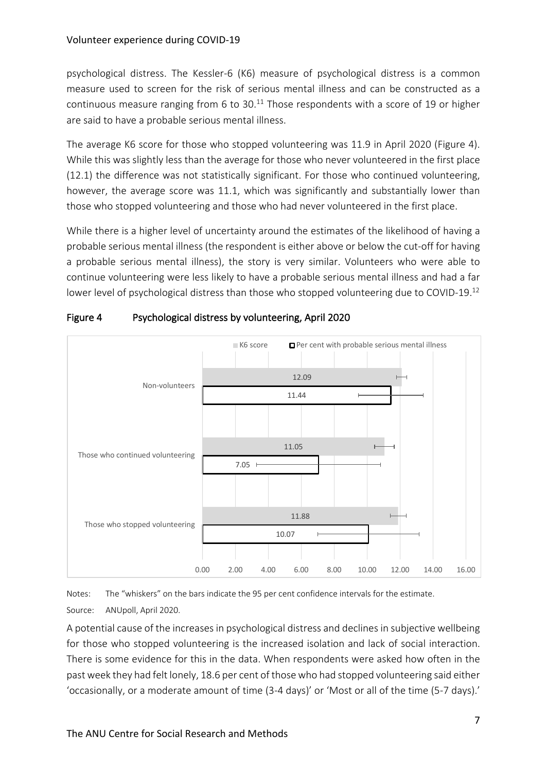psychological distress. The Kessler-6 (K6) measure of psychological distress is a common measure used to screen for the risk of serious mental illness and can be constructed as a continuous measure ranging from 6 to 30.<sup>11</sup> Those respondents with a score of 19 or higher are said to have a probable serious mental illness.

The average K6 score for those who stopped volunteering was 11.9 in April 2020 (Figure 4). While this was slightly less than the average for those who never volunteered in the first place (12.1) the difference was not statistically significant. For those who continued volunteering, however, the average score was 11.1, which was significantly and substantially lower than those who stopped volunteering and those who had never volunteered in the first place.

While there is a higher level of uncertainty around the estimates of the likelihood of having a probable serious mental illness (the respondent is either above or below the cut-off for having a probable serious mental illness), the story is very similar. Volunteers who were able to continue volunteering were less likely to have a probable serious mental illness and had a far lower level of psychological distress than those who stopped volunteering due to COVID-19.<sup>12</sup>



#### Figure 4 Psychological distress by volunteering, April 2020

Notes: The "whiskers" on the bars indicate the 95 per cent confidence intervals for the estimate. Source: ANUpoll, April 2020.

A potential cause of the increases in psychological distress and declines in subjective wellbeing for those who stopped volunteering is the increased isolation and lack of social interaction. There is some evidence for this in the data. When respondents were asked how often in the past week they had felt lonely, 18.6 per cent of those who had stopped volunteering said either 'occasionally, or a moderate amount of time (3-4 days)' or 'Most or all of the time (5-7 days).'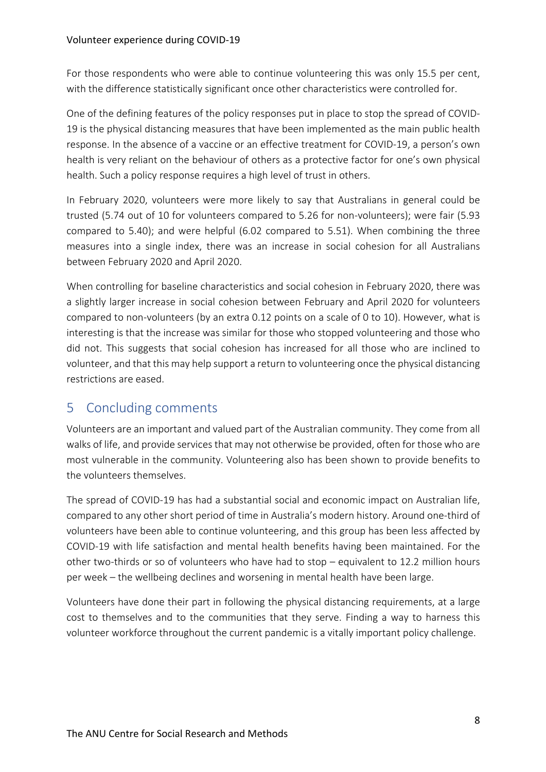For those respondents who were able to continue volunteering this was only 15.5 per cent, with the difference statistically significant once other characteristics were controlled for.

One of the defining features of the policy responses put in place to stop the spread of COVID-19 is the physical distancing measures that have been implemented as the main public health response. In the absence of a vaccine or an effective treatment for COVID-19, a person's own health is very reliant on the behaviour of others as a protective factor for one's own physical health. Such a policy response requires a high level of trust in others.

In February 2020, volunteers were more likely to say that Australians in general could be trusted (5.74 out of 10 for volunteers compared to 5.26 for non-volunteers); were fair (5.93 compared to 5.40); and were helpful (6.02 compared to 5.51). When combining the three measures into a single index, there was an increase in social cohesion for all Australians between February 2020 and April 2020.

When controlling for baseline characteristics and social cohesion in February 2020, there was a slightly larger increase in social cohesion between February and April 2020 for volunteers compared to non-volunteers (by an extra 0.12 points on a scale of 0 to 10). However, what is interesting is that the increase was similar for those who stopped volunteering and those who did not. This suggests that social cohesion has increased for all those who are inclined to volunteer, and that this may help support a return to volunteering once the physical distancing restrictions are eased.

## 5 Concluding comments

Volunteers are an important and valued part of the Australian community. They come from all walks of life, and provide services that may not otherwise be provided, often for those who are most vulnerable in the community. Volunteering also has been shown to provide benefits to the volunteers themselves.

The spread of COVID-19 has had a substantial social and economic impact on Australian life, compared to any other short period of time in Australia's modern history. Around one-third of volunteers have been able to continue volunteering, and this group has been less affected by COVID-19 with life satisfaction and mental health benefits having been maintained. For the other two-thirds or so of volunteers who have had to stop – equivalent to 12.2 million hours per week – the wellbeing declines and worsening in mental health have been large.

Volunteers have done their part in following the physical distancing requirements, at a large cost to themselves and to the communities that they serve. Finding a way to harness this volunteer workforce throughout the current pandemic is a vitally important policy challenge.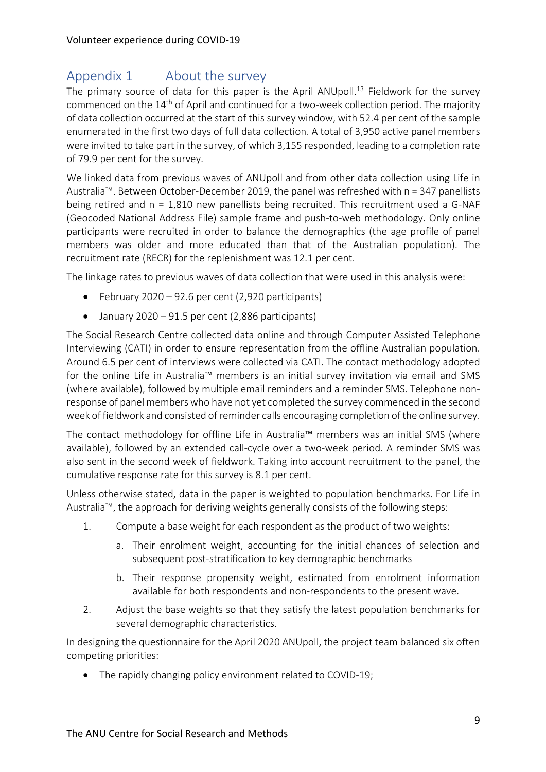## Appendix 1 About the survey

The primary source of data for this paper is the April ANUpoll.<sup>13</sup> Fieldwork for the survey commenced on the 14<sup>th</sup> of April and continued for a two-week collection period. The majority of data collection occurred at the start of this survey window, with 52.4 per cent of the sample enumerated in the first two days of full data collection. A total of 3,950 active panel members were invited to take part in the survey, of which 3,155 responded, leading to a completion rate of 79.9 per cent for the survey.

We linked data from previous waves of ANUpoll and from other data collection using Life in Australia™. Between October-December 2019, the panel was refreshed with n = 347 panellists being retired and n = 1,810 new panellists being recruited. This recruitment used a G-NAF (Geocoded National Address File) sample frame and push-to-web methodology. Only online participants were recruited in order to balance the demographics (the age profile of panel members was older and more educated than that of the Australian population). The recruitment rate (RECR) for the replenishment was 12.1 per cent.

The linkage rates to previous waves of data collection that were used in this analysis were:

- February 2020 92.6 per cent (2,920 participants)
- January 2020 91.5 per cent (2,886 participants)

The Social Research Centre collected data online and through Computer Assisted Telephone Interviewing (CATI) in order to ensure representation from the offline Australian population. Around 6.5 per cent of interviews were collected via CATI. The contact methodology adopted for the online Life in Australia™ members is an initial survey invitation via email and SMS (where available), followed by multiple email reminders and a reminder SMS. Telephone nonresponse of panel members who have not yet completed the survey commenced in the second week of fieldwork and consisted of reminder calls encouraging completion of the online survey.

The contact methodology for offline Life in Australia™ members was an initial SMS (where available), followed by an extended call-cycle over a two-week period. A reminder SMS was also sent in the second week of fieldwork. Taking into account recruitment to the panel, the cumulative response rate for this survey is 8.1 per cent.

Unless otherwise stated, data in the paper is weighted to population benchmarks. For Life in Australia™, the approach for deriving weights generally consists of the following steps:

- 1. Compute a base weight for each respondent as the product of two weights:
	- a. Their enrolment weight, accounting for the initial chances of selection and subsequent post-stratification to key demographic benchmarks
	- b. Their response propensity weight, estimated from enrolment information available for both respondents and non-respondents to the present wave.
- 2. Adjust the base weights so that they satisfy the latest population benchmarks for several demographic characteristics.

In designing the questionnaire for the April 2020 ANUpoll, the project team balanced six often competing priorities:

• The rapidly changing policy environment related to COVID-19;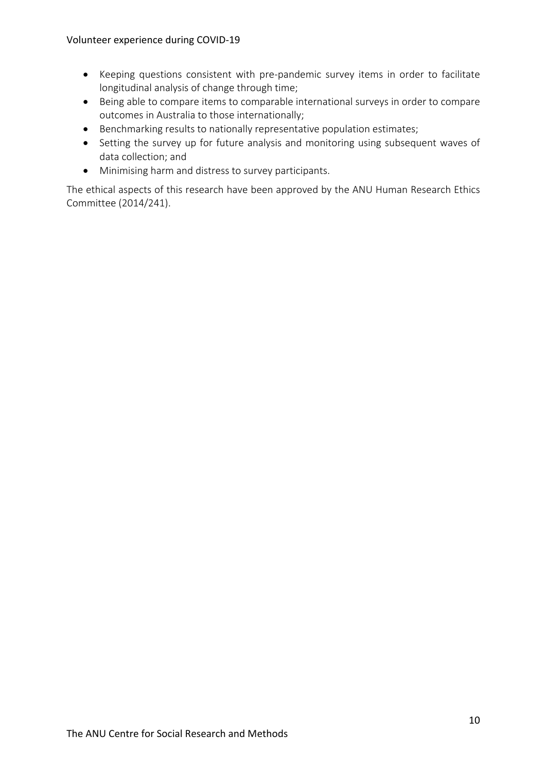- Keeping questions consistent with pre-pandemic survey items in order to facilitate longitudinal analysis of change through time;
- Being able to compare items to comparable international surveys in order to compare outcomes in Australia to those internationally;
- Benchmarking results to nationally representative population estimates;
- Setting the survey up for future analysis and monitoring using subsequent waves of data collection; and
- Minimising harm and distress to survey participants.

The ethical aspects of this research have been approved by the ANU Human Research Ethics Committee (2014/241).